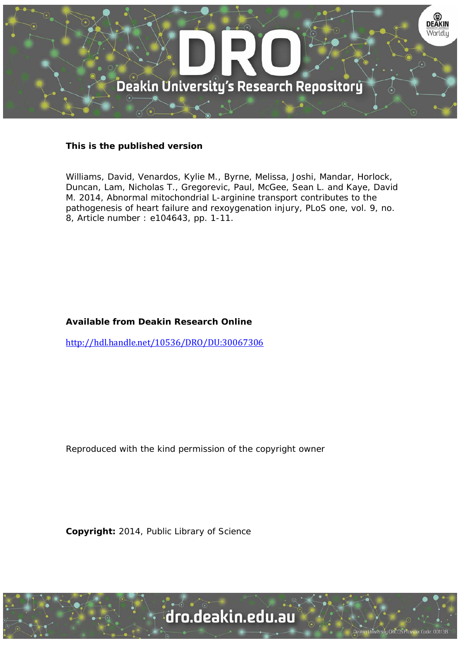

# **This is the published version**

Williams, David, Venardos, Kylie M., Byrne, Melissa, Joshi, Mandar, Horlock, Duncan, Lam, Nicholas T., Gregorevic, Paul, McGee, Sean L. and Kaye, David M. 2014, Abnormal mitochondrial L-arginine transport contributes to the pathogenesis of heart failure and rexoygenation injury, PLoS one, vol. 9, no. 8, Article number : e104643, pp. 1-11.

# **Available from Deakin Research Online**

http://hdl.handle.net/10536/DRO/DU:30067306

Reproduced with the kind permission of the copyright owner

**Copyright:** 2014, Public Library of Science

University CRICOS Provider Code: 00113B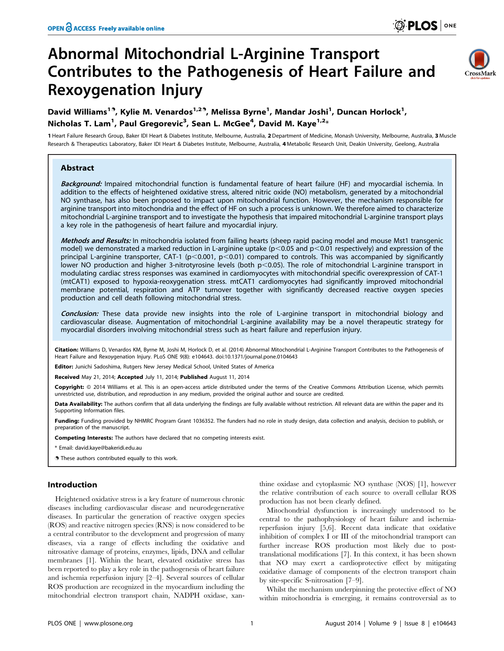# Abnormal Mitochondrial L-Arginine Transport Contributes to the Pathogenesis of Heart Failure and Rexoygenation Injury



# David Williams<sup>19</sup>, Kylie M. Venardos<sup>1,29</sup>, Melissa Byrne<sup>1</sup>, Mandar Joshi<sup>1</sup>, Duncan Horlock<sup>1</sup>, Nicholas T. Lam<sup>1</sup>, Paul Gregorevic<sup>3</sup>, Sean L. McGee<sup>4</sup>, David M. Kaye<sup>1,2</sup>\*

1 Heart Failure Research Group, Baker IDI Heart & Diabetes Institute, Melbourne, Australia, 2 Department of Medicine, Monash University, Melbourne, Australia, 3 Muscle Research & Therapeutics Laboratory, Baker IDI Heart & Diabetes Institute, Melbourne, Australia, 4 Metabolic Research Unit, Deakin University, Geelong, Australia

## **Abstract**

Background: Impaired mitochondrial function is fundamental feature of heart failure (HF) and myocardial ischemia. In addition to the effects of heightened oxidative stress, altered nitric oxide (NO) metabolism, generated by a mitochondrial NO synthase, has also been proposed to impact upon mitochondrial function. However, the mechanism responsible for arginine transport into mitochondria and the effect of HF on such a process is unknown. We therefore aimed to characterize mitochondrial L-arginine transport and to investigate the hypothesis that impaired mitochondrial L-arginine transport plays a key role in the pathogenesis of heart failure and myocardial injury.

Methods and Results: In mitochondria isolated from failing hearts (sheep rapid pacing model and mouse Mst1 transgenic model) we demonstrated a marked reduction in L-arginine uptake ( $p<0.05$  and  $p<0.01$  respectively) and expression of the principal L-arginine transporter, CAT-1 ( $p<0.001$ ,  $p<0.01$ ) compared to controls. This was accompanied by significantly lower NO production and higher 3-nitrotyrosine levels (both  $p<0.05$ ). The role of mitochondrial L-arginine transport in modulating cardiac stress responses was examined in cardiomyocytes with mitochondrial specific overexpression of CAT-1 (mtCAT1) exposed to hypoxia-reoxygenation stress. mtCAT1 cardiomyocytes had significantly improved mitochondrial membrane potential, respiration and ATP turnover together with significantly decreased reactive oxygen species production and cell death following mitochondrial stress.

Conclusion: These data provide new insights into the role of L-arginine transport in mitochondrial biology and cardiovascular disease. Augmentation of mitochondrial L-arginine availability may be a novel therapeutic strategy for myocardial disorders involving mitochondrial stress such as heart failure and reperfusion injury.

Citation: Williams D, Venardos KM, Byrne M, Joshi M, Horlock D, et al. (2014) Abnormal Mitochondrial L-Arginine Transport Contributes to the Pathogenesis of Heart Failure and Rexoygenation Injury. PLoS ONE 9(8): e104643. doi:10.1371/journal.pone.0104643

Editor: Junichi Sadoshima, Rutgers New Jersey Medical School, United States of America

Received May 21, 2014; Accepted July 11, 2014; Published August 11, 2014

Copyright: @ 2014 Williams et al. This is an open-access article distributed under the terms of the [Creative Commons Attribution License,](http://creativecommons.org/licenses/by/4.0/) which permits unrestricted use, distribution, and reproduction in any medium, provided the original author and source are credited.

Data Availability: The authors confirm that all data underlying the findings are fully available without restriction. All relevant data are within the paper and its Supporting Information files.

Funding: Funding provided by NHMRC Program Grant 1036352. The funders had no role in study design, data collection and analysis, decision to publish, or preparation of the manuscript.

Competing Interests: The authors have declared that no competing interests exist.

\* Email: david.kaye@bakeridi.edu.au

**.** These authors contributed equally to this work.

#### Introduction

Heightened oxidative stress is a key feature of numerous chronic diseases including cardiovascular disease and neurodegenerative diseases. In particular the generation of reactive oxygen species (ROS) and reactive nitrogen species (RNS) is now considered to be a central contributor to the development and progression of many diseases, via a range of effects including the oxidative and nitrosative damage of proteins, enzymes, lipids, DNA and cellular membranes [1]. Within the heart, elevated oxidative stress has been reported to play a key role in the pathogenesis of heart failure and ischemia reperfusion injury [2–4]. Several sources of cellular ROS production are recognized in the myocardium including the mitochondrial electron transport chain, NADPH oxidase, xanthine oxidase and cytoplasmic NO synthase (NOS) [1], however the relative contribution of each source to overall cellular ROS production has not been clearly defined.

Mitochondrial dysfunction is increasingly understood to be central to the pathophysiology of heart failure and ischemiareperfusion injury [5,6]. Recent data indicate that oxidative inhibition of complex I or III of the mitochondrial transport can further increase ROS production most likely due to posttranslational modifications [7]. In this context, it has been shown that NO may exert a cardioprotective effect by mitigating oxidative damage of components of the electron transport chain by site-specific S-nitrosation [7–9].

Whilst the mechanism underpinning the protective effect of NO within mitochondria is emerging, it remains controversial as to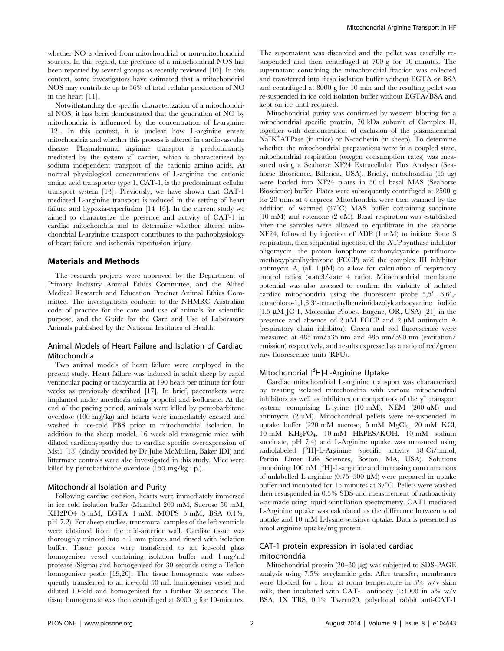whether NO is derived from mitochondrial or non-mitochondrial sources. In this regard, the presence of a mitochondrial NOS has been reported by several groups as recently reviewed [10]. In this context, some investigators have estimated that a mitochondrial NOS may contribute up to 56% of total cellular production of NO in the heart [11].

Notwithstanding the specific characterization of a mitochondrial NOS, it has been demonstrated that the generation of NO by mitochondria is influenced by the concentration of L-arginine [12]. In this context, it is unclear how L-arginine enters mitochondria and whether this process is altered in cardiovascular disease. Plasmalemmal arginine transport is predominantly mediated by the system  $y^+$  carrier, which is characterized by sodium independent transport of the cationic amino acids. At normal physiological concentrations of L-arginine the cationic amino acid transporter type 1, CAT-1, is the predominant cellular transport system [13]. Previously, we have shown that CAT-1 mediated L-arginine transport is reduced in the setting of heart failure and hypoxia-reperfusion [14–16]. In the current study we aimed to characterize the presence and activity of CAT-1 in cardiac mitochondria and to determine whether altered mitochondrial L-arginine transport contributes to the pathophysiology of heart failure and ischemia reperfusion injury.

#### Materials and Methods

The research projects were approved by the Department of Primary Industry Animal Ethics Committee, and the Alfred Medical Research and Education Precinct Animal Ethics Committee. The investigations conform to the NHMRC Australian code of practice for the care and use of animals for scientific purpose, and the Guide for the Care and Use of Laboratory Animals published by the National Institutes of Health.

## Animal Models of Heart Failure and Isolation of Cardiac Mitochondria

Two animal models of heart failure were employed in the present study. Heart failure was induced in adult sheep by rapid ventricular pacing or tachycardia at 190 beats per minute for four weeks as previously described [17]. In brief, pacemakers were implanted under anesthesia using propofol and isoflurane. At the end of the pacing period, animals were killed by pentobarbitone overdose (100 mg/kg) and hearts were immediately excised and washed in ice-cold PBS prior to mitochondrial isolation. In addition to the sheep model, 16 week old transgenic mice with dilated cardiomyopathy due to cardiac specific overexpression of Mst1 [18] (kindly provided by Dr Julie McMullen, Baker IDI) and littermate controls were also investigated in this study. Mice were killed by pentobarbitone overdose (150 mg/kg i.p.).

#### Mitochondrial Isolation and Purity

Following cardiac excision, hearts were immediately immersed in ice cold isolation buffer (Mannitol 200 mM, Sucrose 50 mM, KH2PO4 5 mM, EGTA 1 mM, MOPS 5 mM, BSA 0.1%, pH 7.2). For sheep studies, transmural samples of the left ventricle were obtained from the mid-anterior wall. Cardiac tissue was thoroughly minced into  $\sim$ 1 mm pieces and rinsed with isolation buffer. Tissue pieces were transferred to an ice-cold glass homogeniser vessel containing isolation buffer and 1 mg/ml protease (Sigma) and homogenised for 30 seconds using a Teflon homogeniser pestle [19,20]. The tissue homogenate was subsequently transferred to an ice-cold 50 mL homogeniser vessel and diluted 10-fold and homogenised for a further 30 seconds. The tissue homogenate was then centrifuged at 8000 g for 10-minutes. The supernatant was discarded and the pellet was carefully resuspended and then centrifuged at 700 g for 10 minutes. The supernatant containing the mitochondrial fraction was collected and transferred into fresh isolation buffer without EGTA or BSA and centrifuged at 8000 g for 10 min and the resulting pellet was re-suspended in ice cold isolation buffer without EGTA/BSA and kept on ice until required.

Mitochondrial purity was confirmed by western blotting for a mitochondrial specific protein, 70 kDa subunit of Complex II, together with demonstration of exclusion of the plasmalemmal Na<sup>+</sup> K+ ATPase (in mice) or N-cadherin (in sheep). To determine whether the mitochondrial preparations were in a coupled state, mitochondrial respiration (oxygen consumption rates) was measured using a Seahorse XF24 Extracellular Flux Analyser (Seahorse Bioscience, Billerica, USA). Briefly, mitochondria (15 ug) were loaded into XF24 plates in 50 ul basal MAS (Seahorse Bioscience) buffer. Plates were subsequently centrifuged at 2500 g for 20 mins at 4 degrees. Mitochondria were then warmed by the addition of warmed  $(37^{\circ}C)$  MAS buffer containing succinate (10 mM) and rotenone (2 uM). Basal respiration was established after the samples were allowed to equilibrate in the seahorse XF24, followed by injection of ADP (1 mM) to initiate State 3 respiration, then sequential injection of the ATP synthase inhibitor oligomycin, the proton ionophore carbonylcyanide p-trifluoromethoxyphenlhydrazone (FCCP) and the complex III inhibitor antimycin A, (all  $1 \mu M$ ) to allow for calculation of respiratory control ratios (state3/state 4 ratio). Mitochondrial membrane potential was also assessed to confirm the viability of isolated cardiac mitochondria using the fluorescent probe  $5,5', 6,6',$ tetrachloro-1,1,3,39-tetraethylbenzimidazolylcarbocyanine iodide  $(1.5 \mu M$  JC-1, Molecular Probes, Eugene, OR, USA) [21] in the presence and absence of  $2 \mu M$  FCCP and  $2 \mu M$  antimycin A (respiratory chain inhibitor). Green and red fluorescence were measured at 485 nm/535 nm and 485 nm/590 nm (excitation/ emission) respectively, and results expressed as a ratio of red/green raw fluorescence units (RFU).

# Mitochondrial [<sup>3</sup>H]-L-Arginine Uptake

Cardiac mitochondrial L-arginine transport was characterised by treating isolated mitochondria with various mitochondrial inhibitors as well as inhibitors or competitors of the  $y^+$  transport system, comprising L-lysine (10 mM), NEM (200 uM) and antimycin (2 uM). Mitochondrial pellets were re-suspended in uptake buffer (220 mM sucrose, 5 mM  $MgCl<sub>2</sub>$  20 mM KCl, 10 mM KH2PO4, 10 mM HEPES/KOH, 10 mM sodium succinate, pH 7.4) and L-Arginine uptake was measured using radiolabeled [<sup>3</sup> H]-L-Arginine (specific activity 58 Ci/mmol, Perkin Elmer Life Sciences, Boston, MA, USA). Solutions containing 100 nM  $[^{3}H]$ -L-arginine and increasing concentrations of unlabelled L-arginine  $(0.75-500 \mu M)$  were prepared in uptake buffer and incubated for 15 minutes at  $37^{\circ}$ C. Pellets were washed then resuspended in 0.5% SDS and measurement of radioactivity was made using liquid scintillation spectrometry. CAT1 mediated L-Arginine uptake was calculated as the difference between total uptake and 10 mM L-lysine sensitive uptake. Data is presented as nmol arginine uptake/mg protein.

### CAT-1 protein expression in isolated cardiac mitochondria

Mitochondrial protein  $(20-30 \mu g)$  was subjected to SDS-PAGE analysis using 7.5% acrylamide gels. After transfer, membranes were blocked for 1 hour at room temperature in 5% w/v skim milk, then incubated with CAT-1 antibody (1:1000 in 5% w/v BSA, 1X TBS, 0.1% Tween20, polyclonal rabbit anti-CAT-1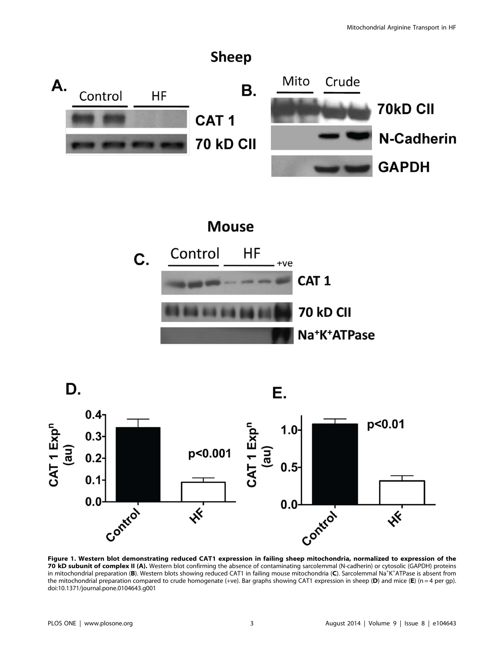

Figure 1. Western blot demonstrating reduced CAT1 expression in failing sheep mitochondria, normalized to expression of the 70 kD subunit of complex II (A). Western blot confirming the absence of contaminating sarcolemmal (N-cadherin) or cytosolic (GAPDH) proteins in mitochondrial preparation (B). Western blots showing reduced CAT1 in failing mouse mitochondria (C). Sarcolemmal Na<sup>+</sup>K+ATPase is absent from the mitochondrial preparation compared to crude homogenate (+ve). Bar graphs showing CAT1 expression in sheep (D) and mice (E) (n = 4 per gp). doi:10.1371/journal.pone.0104643.g001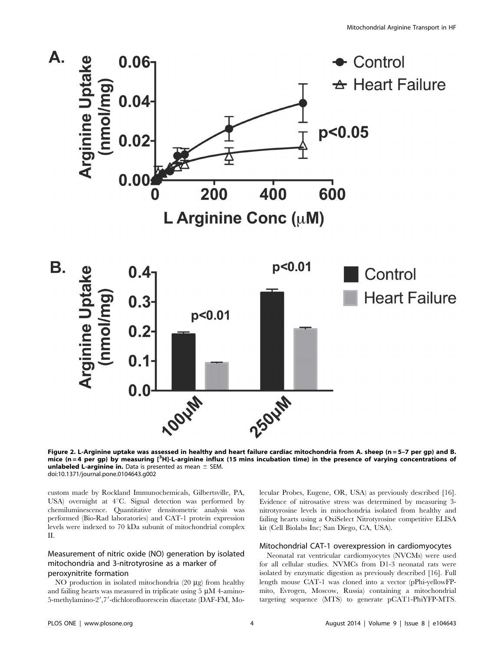

Figure 2. L-Arginine uptake was assessed in healthy and heart failure cardiac mitochondria from A. sheep (n = 5–7 per gp) and B. mice (n=4 per gp) by measuring [<sup>3</sup>H]-L-arginine influx (15 mins incubation time) in the presence of varying concentrations of unlabeled L-arginine in. Data is presented as mean  $\pm$  SEM. doi:10.1371/journal.pone.0104643.g002

custom made by Rockland Immunochemicals, Gilbertsville, PA, USA) overnight at  $4^{\circ}$ C. Signal detection was performed by chemiluminescence. Quantitative densitometric analysis was performed (Bio-Rad laboratories) and CAT-1 protein expression levels were indexed to 70 kDa subunit of mitochondrial complex II.

# Measurement of nitric oxide (NO) generation by isolated mitochondria and 3-nitrotyrosine as a marker of peroxynitrite formation

NO production in isolated mitochondria  $(20 \mu g)$  from healthy and failing hearts was measured in triplicate using  $5 \mu M$  4-amino-5-methylamino-2',7'-dichlorofluorescein diacetate (DAF-FM, Molecular Probes, Eugene, OR, USA) as previously described [16]. Evidence of nitrosative stress was determined by measuring 3 nitrotyrosine levels in mitochondria isolated from healthy and failing hearts using a OxiSelect Nitrotyrosine competitive ELISA kit (Cell Biolabs Inc; San Diego, CA, USA).

#### Mitochondrial CAT-1 overexpression in cardiomyocytes

Neonatal rat ventricular cardiomyocytes (NVCMs) were used for all cellular studies. NVMCs from D1-3 neonatal rats were isolated by enzymatic digestion as previously described [16]. Full length mouse CAT-1 was cloned into a vector (pPhi-yellowFPmito, Evrogen, Moscow, Russia) containing a mitochondrial targeting sequence (MTS) to generate pCAT1-PhiYFP-MTS.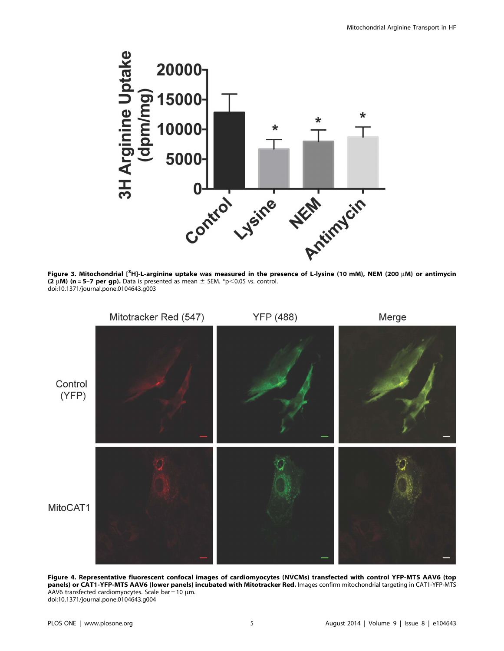

Figure 3. Mitochondrial [<sup>3</sup>H]-L-arginine uptake was measured in the presence of L-lysine (10 mM), NEM (200 µM) or antimycin (2  $\mu$ M) (n = 5–7 per gp). Data is presented as mean  $\pm$  SEM. \*p<0.05 vs. control. doi:10.1371/journal.pone.0104643.g003



Figure 4. Representative fluorescent confocal images of cardiomyocytes (NVCMs) transfected with control YFP-MTS AAV6 (top panels) or CAT1-YFP-MTS AAV6 (lower panels) incubated with Mitotracker Red. Images confirm mitochondrial targeting in CAT1-YFP-MTS AAV6 transfected cardiomyocytes. Scale bar = 10  $\mu$ m. doi:10.1371/journal.pone.0104643.g004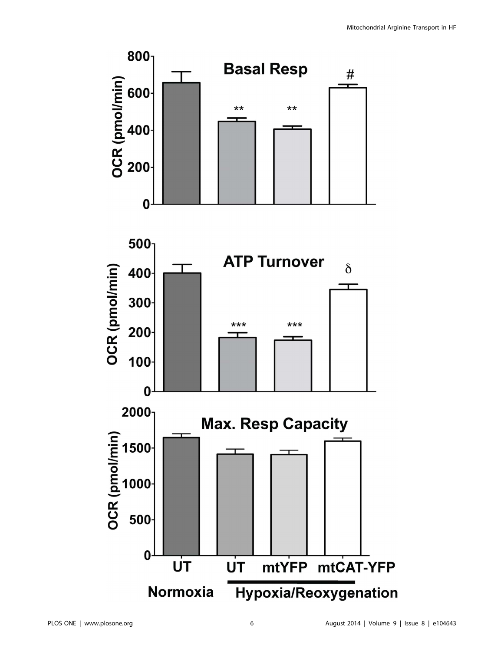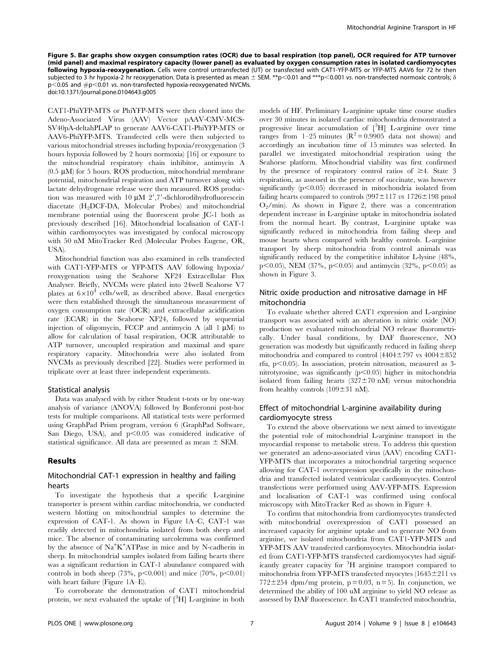Figure 5. Bar graphs show oxygen consumption rates (OCR) due to basal respiration (top panel), OCR required for ATP turnover (mid panel) and maximal respiratory capacity (lower panel) as evaluated by oxygen consumption rates in isolated cardiomyocytes following hypoxia-reoxygenation. Cells were control untransfected (UT) or transfected with CAT1-YFP-MTS or YFP-MTS AAV6 for 72 hr then subjected to 3 hr hypoxia-2 hr reoxygenation. Data is presented as mean  $\pm$  SEM. \*\*p<0.01 and \*\*\*p<0.001 vs. non-transfected normoxic controls;  $\delta$  $p<$ 0.05 and  $\#p<$ 0.01 vs. non-transfected hypoxia-reoxygenated NVCMs. doi:10.1371/journal.pone.0104643.g005

CAT1-PhiYFP-MTS or PhiYFP-MTS were then cloned into the Adeno-Associated Virus (AAV) Vector pAAV-CMV-MCS-SV40pA-deltahPLAP to generate AAV6-CAT1-PhiYFP-MTS or AAV6-PhiYFP-MTS. Transfected cells were then subjected to various mitochondrial stresses including hypoxia/reoxygenation (3 hours hypoxia followed by 2 hours normoxia) [16] or exposure to the mitochondrial respiratory chain inhibitor, antimycin A  $(0.5 \mu M)$  for 5 hours. ROS production, mitochondrial membrane potential, mitochondrial respiration and ATP turnover along with lactate dehydrogenase release were then measured. ROS production was measured with 10  $\mu$ M 2', 7'-dichlorodihydrofluorescein diacetate (H2DCF-DA, Molecular Probes) and mitochondrial membrane potential using the fluorescent probe JC-1 both as previously described [16]. Mitochondrial localisation of CAT-1 within cardiomyocytes was investigated by confocal microscopy with 50 nM MitoTracker Red (Molecular Probes Eugene, OR, USA).

Mitochondrial function was also examined in cells transfected with CAT1-YFP-MTS or YFP-MTS AAV following hypoxia/ reoxygenation using the Seahorse XF24 Extracellular Flux Analyser. Briefly, NVCMs were plated into 24well Seahorse V7 plates at  $6\times10^4$  cells/well, as described above. Basal energetics were then established through the simultaneous measurement of oxygen consumption rate (OCR) and extracellular acidification rate (ECAR) in the Seahorse XF24, followed by sequential injection of oligomycin, FCCP and antimycin A (all  $1 \mu M$ ) to allow for calculation of basal respiration, OCR attributable to ATP turnover, uncoupled respiration and maximal and spare respiratory capacity. Mitochondria were also isolated from NVCMs as previously described [22]. Studies were performed in triplicate over at least three independent experiments.

#### Statistical analysis

Data was analysed with by either Student t-tests or by one-way analysis of variance (ANOVA) followed by Bonferonni post-hoc tests for multiple comparisons. All statistical tests were performed using GraphPad Prism program, version 6 (GraphPad Software, San Diego, USA), and  $p<0.05$  was considered indicative of statistical significance. All data are presented as mean  $\pm$  SEM.

#### Results

### Mitochondrial CAT-1 expression in healthy and failing hearts

To investigate the hypothesis that a specific L-arginine transporter is present within cardiac mitochondria, we conducted western blotting on mitochondrial samples to determine the expression of CAT-1. As shown in Figure 1A–C, CAT-1 was readily detected in mitochondria isolated from both sheep and mice. The absence of contaminating sarcolemma was confirmed by the absence of Na<sup>+</sup>K<sup>+</sup>ATPase in mice and by N-cadherin in sheep. In mitochondrial samples isolated from failing hearts there was a significant reduction in CAT-1 abundance compared with controls in both sheep (73%, p<0.001) and mice (70%, p<0.01) with heart failure (Figure 1A–E).

To corroborate the demonstration of CAT1 mitochondrial protein, we next evaluated the uptake of  $[^3H]$  L-arginine in both models of HF. Preliminary L-arginine uptake time course studies over 30 minutes in isolated cardiac mitochondria demonstrated a progressive linear accumulation of  $[{}^{3}H]$  L-arginine over time ranges from 1–25 minutes ( $R^2$  = 0.9905 data not shown) and accordingly an incubation time of 15 minutes was selected. In parallel we investigated mitochondrial respiration using the Seahorse platform. Mitochondrial viability was first confirmed by the presence of respiratory control ratios of  $\geq 4$ . State 3 respiration, as assessed in the presence of succinate, was however significantly  $(p<0.05)$  decreased in mitochondria isolated from failing hearts compared to controls  $(997 \pm 117 \text{ vs } 1726 \pm 198 \text{ pmol})$  $O_2/\text{min}$ ). As shown in Figure 2, there was a concentration dependent increase in L-arginine uptake in mitochondria isolated from the normal heart. By contrast, L-arginine uptake was significantly reduced in mitochondria from failing sheep and mouse hearts when compared with healthy controls. L-arginine transport by sheep mitochondria from control animals was significantly reduced by the competitive inhibitor L-lysine (48%, p $\leq$ 0.05), NEM (37%, p $\leq$ 0.05) and antimycin (32%, p $\leq$ 0.05) as shown in Figure 3.

## Nitric oxide production and nitrosative damage in HF mitochondria

To evaluate whether altered CAT1 expression and L-arginine transport was associated with an alteration in nitric oxide (NO) production we evaluated mitochondrial NO release fluorometrically. Under basal conditions, by DAF fluorescence, NO generation was modestly but significantly reduced in failing sheep mitochondria and compared to control  $(4404\pm797 \text{ vs } 4004\pm852)$ rfu,  $p<0.05$ ). In association, protein nitrosation, measured as 3nitrotyrosine, was significantly  $(p<0.05)$  higher in mitochondria isolated from failing hearts  $(327 \pm 70 \text{ nM})$  versus mitochondria from healthy controls  $(109 \pm 31 \text{ nM})$ .

## Effect of mitochondrial L-arginine availability during cardiomyocyte stress

To extend the above observations we next aimed to investigate the potential role of mitochondrial L-arginine transport in the myocardial response to metabolic stress. To address this question we generated an adeno-associated virus (AAV) encoding CAT1- YFP-MTS that incorporates a mitochondrial targeting sequence allowing for CAT-1 overexpression specifically in the mitochondria and transfected isolated ventricular cardiomyocytes. Control transfections were performed using AAV-YFP-MTS. Expression and localisation of CAT-1 was confirmed using confocal microscopy with MitoTracker Red as shown in Figure 4.

To confirm that mitochondria from cardiomyocytes transfected with mitochondrial overexpression of CAT1 possessed an increased capacity for arginine uptake and to generate NO from arginine, we isolated mitochondria from CAT1-YFP-MTS and YFP-MTS AAV transfected cardiomyocytes. Mitochondria isolated from CAT1-YFP-MTS transfected cardiomyocytes had significantly greater capacity for <sup>3</sup> H arginine transport compared to mitochondria from YFP-MTS transfected myocytes  $(1645 \pm 211 \text{ vs } 1645 \pm 11)$ 772 $\pm$ 254 dpm/mg protein, p = 0.03, n = 5). In conjunction, we determined the ability of 100 uM arginine to yield NO release as assessed by DAF fluorescence. In CAT1 transfected mitochondria,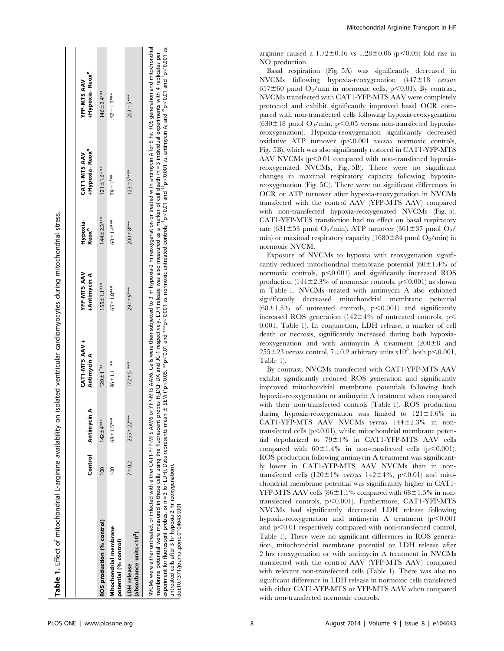|                                                                                                                                                                                                                                                                                                          |               |               | CAT1-MTS AAV +              | YFP-MTS AAV         | Hypoxia-          | CAT1-MTS AAV           | YFP-MTS AAV                                                                                                                                          |
|----------------------------------------------------------------------------------------------------------------------------------------------------------------------------------------------------------------------------------------------------------------------------------------------------------|---------------|---------------|-----------------------------|---------------------|-------------------|------------------------|------------------------------------------------------------------------------------------------------------------------------------------------------|
|                                                                                                                                                                                                                                                                                                          | Control       | Antimycin A   | Antimycin A                 | <b>+Antimycin A</b> | Reox <sup>n</sup> | <b>+Hypoxia-Reox</b> " | <b>Hypoxia-Reox</b> "                                                                                                                                |
| ROS production (% control)                                                                                                                                                                                                                                                                               | $\frac{1}{2}$ | $142 + 4***$  | $120 + 1$ <sup>7**</sup>    | $155 \pm 1.1***$    | $144 \pm 2.3$ *** | $121 \pm 1.6$ ***      | $146 - 2.4***$                                                                                                                                       |
| Mitochondrial membrane<br>potential (% control)                                                                                                                                                                                                                                                          | $\frac{8}{1}$ | $68 + 1.5***$ | $86 + 1.1$ <sup>1</sup> **  | $65 \pm 1.8***$     | $60 - 1.4***$     | 79 ± 1 <sup>3**</sup>  | $57 + 1.7***$                                                                                                                                        |
| (absorbance units $\times 10^{3}$ )<br>LDH release                                                                                                                                                                                                                                                       | $7 + 0.2$     | $255 + 22***$ | $172 \pm 5$ <sup>1***</sup> | $291 + 9**$         | $200 + 8$ ***     | $123 \pm 5^{3***}$     | $203 \pm 5***$                                                                                                                                       |
| respectively that the contraction that the respective to the contract of the contract of the contract of the contract of the contract of the contract of the contract of the contract of the contract of the contract of the c<br>NVCMs were either untreated, or infected with either CAT1-YFP-MTS AAV6 |               |               |                             |                     |                   |                        | or YFP-MTS AAV6. Cells were then subjected to 3 hr hypoxia-2 hr reoxygenation or treated with antimycin A for 5 hr. ROS generation and mitochondrial |

marker or cell death (n = 3 Individual experiments with 4 replicates per<br>; "p<0.01 and ""p<0.001 vs. antimycin A; and "b<0.01 and "p<0.001 vs. p<0.001 vs. membrane potential were measured in these cells using the fluorescent probes H<sub>2</sub>DCF-DA and JC-1 respectively. LDH release was also measured as a marker of cell death (n = 3 individual experiments with 4 replicates per experiments with 4 replicates p $<$ 0.01 and  ${{}^{\uparrow\uparrow}}$ p $<$ 0.001 vs. antimycin A; and  ${{}^{\#}}$ p $<$ 0.01 and  ${}^{\$}$ membrane potential were measured in these cells using the fluorescent probes H<sub>2</sub>DCF-DA and JC-1 respectively. LDH release was also measured as a m<br>experiment for fluorescent probes, or n = 3 for LDH). Data represents mea  $<$ 0.001 vs. normoxic untreated controls;  $<sup>†</sup>$ </sup>  $<$  0.01 and  $^{***}$ p experiment for fluorescent probes, or  $n = 3$  for LDH). Data represents mean  $\pm$  SEM (\*p untreated cells after 3 hr hypoxia-2 hr reoxygenation). untreated cells after 3 hr hypoxia-2 hr reoxygenation).

 $\equiv$ 

doi:10.1371/journal.pone.0104643.t00

doi:10.1371/journal.pone.0104643.t001

Mitochondrial Arginine Transport in HF

arginine caused a  $1.72 \pm 0.16$  vs  $1.28 \pm 0.06$  (p $\leq 0.05$ ) fold rise in NO production.

Basal respiration (Fig. 5A) was significantly decreased in  $NVCMs$  following hypoxia-reoxygenation  $(447 \pm 18$  versus  $657\pm60$  pmol O<sub>2</sub>/min in normoxic cells, p<0.01). By contrast, NVCMs transfected with CAT1-YFP-MTS AAV were completely protected and exhibit significantly improved basal OCR compared with non-transfected cells following hypoxia-reoxygenation  $(630\pm18 \text{ pmol O}_2/\text{min}, \text{p} < 0.05 \text{ versus non-transfected hypoxia-}$ reoxygenation). Hypoxia-reoxygenation significantly decreased oxidative ATP turnover  $(p<0.001$  versus normoxic controls, Fig. 5B), which was also significantly restored in CAT1-YFP-MTS AAV NVCMs  $(p<0.01$  compared with non-transfected hypoxiareoxygenated NVCMs, Fig. 5B). There were no significant changes in maximal respiratory capacity following hypoxiareoxygenation (Fig. 5C). There were no significant differences in OCR or ATP turnover after hypoxia-reoxygenation in NVCMs transfected with the control AAV (YFP-MTS AAV) compared with non-transfected hypoxia-reoxygenated NVCMs (Fig. 5). CAT1-YFP-MTS transfection had no effect on basal respiratory rate (631 $\pm$ 53 pmol O<sub>2</sub>/min), ATP turnover (361 $\pm$ 37 pmol O<sub>2</sub>/ min) or maximal respiratory capacity (1680 $\pm$ 84 pmol O<sub>2</sub>/min) in normoxic NVCM.

Exposure of NVCMs to hypoxia with reoxygenation significantly reduced mitochondrial membrane potential  $(60 \pm 1.4\%$  of normoxic controls,  $p<0.001$ ) and significantly increased ROS production (144 $\pm$ 2.3% of normoxic controls, p $\leq$ 0.001) as shown in Table 1. NVCMs treated with antimycin A also exhibited significantly decreased mitochondrial membrane potential  $(68\pm1.5\%$  of untreated controls, p $\leq 0.001$  and significantly increased ROS generation  $(142 \pm 4\% \text{ of untreated controls, } p<$ 0.001, Table 1). In conjunction, LDH release, a marker of cell death or necrosis, significantly increased during both hypoxiareoxygenation and with antimycin A treatment  $(200\pm8)$  and  $255\pm23$  versus control,  $7\pm0.2$  arbitrary units x10<sup>3</sup>, both p<0.001, Table 1).

By contrast, NVCMs transfected with CAT1-YFP-MTS AAV exhibit significantly reduced ROS generation and significantly improved mitochondrial membrane potentials following both hypoxia-reoxygenation or antimycin A treatment when compared with their non-transfected controls (Table 1). ROS production during hypoxia-reoxygenation was limited to  $121 \pm 1.6\%$  in CAT1-YFP-MTS AAV NVCMs versus  $144\pm2.3\%$  in nontransfected cells  $(p<0.01)$ , whilst mitochondrial membrane potential depolarized to  $79\pm1\%$  in CAT1-YFP-MTS AAV cells compared with  $60\pm1.4\%$  in non-transfected cells (p<0.001). ROS production following antimycin A treatment was significantly lower in CAT1-YFP-MTS AAV NVCMs than in nontransfected cells (120 $\pm$ 1% versus 142 $\pm$ 4%, p $\lt$ 0.01) and mitochondrial membrane potential was significantly higher in CAT1- YFP-MTS AAV cells  $(86\pm1.1\%$  compared with  $68\pm1.5\%$  in nontransfected controls,  $p<0.001$ ). Furthermore, CAT1-YFP-MTS NVCMs had significantly decreased LDH release following hypoxia-reoxygenation and antimycin A treatment  $(p<0.001$ and  $p<0.01$  respectively compared with non-transfected control, Table 1). There were no significant differences in ROS generation, mitochondrial membrane potential or LDH release after 2 hrs reoxygenation or with antimycin A treatment in NVCMs transfected with the control AAV (YFP-MTS AAV) compared with relevant non-transfected cells (Table 1). There was also no significant difference in LDH release in normoxic cells transfected with either CAT1-YFP-MTS or YFP-MTS AAV when compared with non-transfected normoxic controls.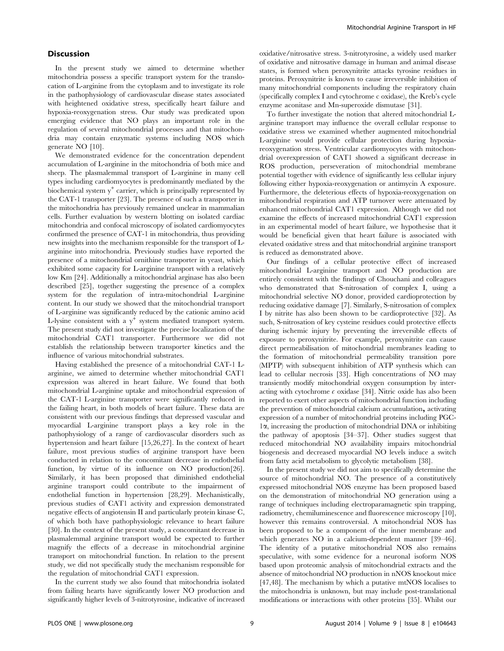#### **Discussion**

In the present study we aimed to determine whether mitochondria possess a specific transport system for the translocation of L-arginine from the cytoplasm and to investigate its role in the pathophysiology of cardiovascular disease states associated with heightened oxidative stress, specifically heart failure and hypoxia-reoxygenation stress. Our study was predicated upon emerging evidence that NO plays an important role in the regulation of several mitochondrial processes and that mitochondria may contain enzymatic systems including NOS which generate NO [10].

We demonstrated evidence for the concentration dependent accumulation of L-arginine in the mitochondria of both mice and sheep. The plasmalemmal transport of L-arginine in many cell types including cardiomyocytes is predominantly mediated by the biochemical system  $y^+$  carrier, which is principally represented by the CAT-1 transporter [23]. The presence of such a transporter in the mitochondria has previously remained unclear in mammalian cells. Further evaluation by western blotting on isolated cardiac mitochondria and confocal microscopy of isolated cardiomyocytes confirmed the presence of CAT-1 in mitochondria, thus providing new insights into the mechanism responsible for the transport of Larginine into mitochondria. Previously studies have reported the presence of a mitochondrial ornithine transporter in yeast, which exhibited some capacity for L-arginine transport with a relatively low Km [24]. Additionally a mitochondrial arginase has also been described [25], together suggesting the presence of a complex system for the regulation of intra-mitochondrial L-arginine content. In our study we showed that the mitochondrial transport of L-arginine was significantly reduced by the cationic amino acid L-lysine consistent with a  $y^+$  system mediated transport system. The present study did not investigate the precise localization of the mitochondrial CAT1 transporter. Furthermore we did not establish the relationship between transporter kinetics and the influence of various mitochondrial substrates.

Having established the presence of a mitochondrial CAT-1 Larginine, we aimed to determine whether mitochondrial CAT1 expression was altered in heart failure. We found that both mitochondrial L-arginine uptake and mitochondrial expression of the CAT-1 L-arginine transporter were significantly reduced in the failing heart, in both models of heart failure. These data are consistent with our previous findings that depressed vascular and myocardial L-arginine transport plays a key role in the pathophysiology of a range of cardiovascular disorders such as hypertension and heart failure [15,26,27]. In the context of heart failure, most previous studies of arginine transport have been conducted in relation to the concomitant decrease in endothelial function, by virtue of its influence on NO production[26]. Similarly, it has been proposed that diminished endothelial arginine transport could contribute to the impairment of endothelial function in hypertension [28,29]. Mechanistically, previous studies of CAT1 activity and expression demonstrated negative effects of angiotensin II and particularly protein kinase C, of which both have pathophysiologic relevance to heart failure [30]. In the context of the present study, a concomitant decrease in plasmalemmal arginine transport would be expected to further magnify the effects of a decrease in mitochondrial arginine transport on mitochondrial function. In relation to the present study, we did not specifically study the mechanism responsible for the regulation of mitochondrial CAT1 expression.

In the current study we also found that mitochondria isolated from failing hearts have significantly lower NO production and significantly higher levels of 3-nitrotyrosine, indicative of increased oxidative/nitrosative stress. 3-nitrotyrosine, a widely used marker of oxidative and nitrosative damage in human and animal disease states, is formed when peroxynitrite attacks tyrosine residues in proteins. Peroxynitrite is known to cause irreversible inhibition of many mitochondrial components including the respiratory chain (specifically complex I and cytochrome c oxidase), the Kreb's cycle enzyme aconitase and Mn-superoxide dismutase [31].

To further investigate the notion that altered mitochondrial Larginine transport may influence the overall cellular response to oxidative stress we examined whether augmented mitochondrial L-arginine would provide cellular protection during hypoxiareoxygenation stress. Ventricular cardiomyocytes with mitochondrial overexpression of CAT1 showed a significant decrease in ROS production, perseveration of mitochondrial membrane potential together with evidence of significantly less cellular injury following either hypoxia-reoxygenation or antimycin A exposure. Furthermore, the deleterious effects of hypoxia-reoxygenation on mitochondrial respiration and ATP turnover were attenuated by enhanced mitochondrial CAT1 expression. Although we did not examine the effects of increased mitochondrial CAT1 expression in an experimental model of heart failure, we hypothesise that it would be beneficial given that heart failure is associated with elevated oxidative stress and that mitochondrial arginine transport is reduced as demonstrated above.

Our findings of a cellular protective effect of increased mitochondrial L-arginine transport and NO production are entirely consistent with the findings of Chouchani and colleagues who demonstrated that S-nitrosation of complex I, using a mitochondrial selective NO donor, provided cardioprotection by reducing oxidative damage [7]. Similarly, S-nitrosation of complex I by nitrite has also been shown to be cardioprotective [32]. As such, S-nitrosation of key cysteine residues could protective effects during ischemic injury by preventing the irreversible effects of exposure to peroxynitrite. For example, peroxynitrite can cause direct permeabilisation of mitochondrial membranes leading to the formation of mitochondrial permeability transition pore (MPTP) with subsequent inhibition of ATP synthesis which can lead to cellular necrosis [33]. High concentrations of NO may transiently modify mitochondrial oxygen consumption by interacting with cytochrome  $c$  oxidase [34]. Nitric oxide has also been reported to exert other aspects of mitochondrial function including the prevention of mitochondrial calcium accumulation*,* activating expression of a number of mitochondrial proteins including PGC-1a, increasing the production of mitochondrial DNA or inhibiting the pathway of apoptosis [34–37]. Other studies suggest that reduced mitochondrial NO availability impairs mitochondrial biogenesis and decreased myocardial NO levels induce a switch from fatty acid metabolism to glycolytic metabolism [38].

In the present study we did not aim to specifically determine the source of mitochondrial NO. The presence of a constitutively expressed mitochondrial NOS enzyme has been proposed based on the demonstration of mitochondrial NO generation using a range of techniques including electroparamagnetic spin trapping, radiometry, chemiluminescence and fluorescence microscopy [10], however this remains controversial. A mitochondrial NOS has been proposed to be a component of the inner membrane and which generates NO in a calcium-dependent manner [39–46]. The identity of a putative mitochondrial NOS also remains speculative, with some evidence for a neuronal isoform NOS based upon proteomic analysis of mitochondrial extracts and the absence of mitochondrial NO production in nNOS knockout mice [47,48]. The mechanism by which a putative mtNOS localises to the mitochondria is unknown, but may include post-translational modifications or interactions with other proteins [35]. Whilst our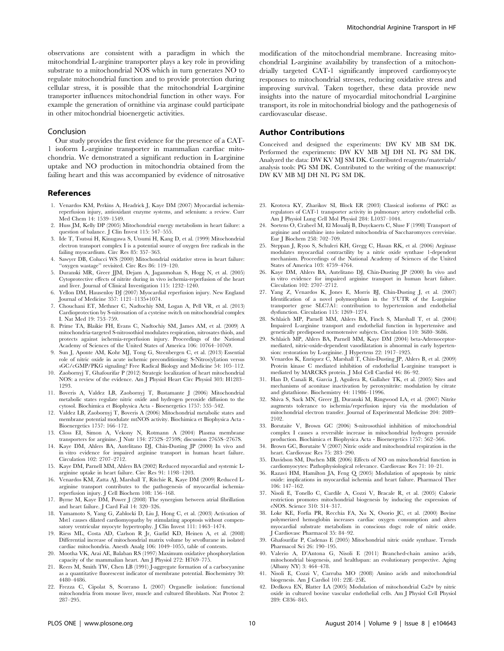observations are consistent with a paradigm in which the mitochondrial L-arginine transporter plays a key role in providing substrate to a mitochondrial NOS which in turn generates NO to regulate mitochondrial function and to provide protection during cellular stress, it is possible that the mitochondrial L-arginine transporter influences mitochondrial function in other ways. For example the generation of ornithine via arginase could participate in other mitochondrial bioenergetic activities.

#### Conclusion

Our study provides the first evidence for the presence of a CAT-1 isoform L-arginine transporter in mammalian cardiac mitochondria. We demonstrated a significant reduction in L-arginine uptake and NO production in mitochondria obtained from the failing heart and this was accompanied by evidence of nitrosative

#### References

- 1. Venardos KM, Perkins A, Headrick J, Kaye DM (2007) Myocardial ischemiareperfusion injury, antioxidant enzyme systems, and selenium: a review. Curr Med Chem 14: 1539–1549.
- 2. Huss JM, Kelly DP (2005) Mitochondrial energy metabolism in heart failure: a question of balance. J Clin Invest 115: 547–555.
- 3. Ide T, Tsutsui H, Kinugawa S, Utsumi H, Kang D, et al. (1999) Mitochondrial electron transport complex I is a potential source of oxygen free radicals in the failing myocardium. Circ Res 85: 357–363.
- 4. Sawyer DB, Colucci WS (2000) Mitochondrial oxidative stress in heart failure: 'oxygen wastage" revisited. Circ Res 86: 119-120.
- 5. Duranski MR, Greer JJM, Dejam A, Jaganmohan S, Hogg N, et al. (2005) Cytoprotective effects of nitrite during in vivo ischemia-reperfusion of the heart and liver. Journal of Clinical Investigation 115: 1232–1240.
- 6. Yellon DM, Hausenloy DJ (2007) Myocardial reperfusion injury. New England Journal of Medicine 357: 1121–1135+1074.
- 7. Chouchani ET, Methner C, Nadtochiy SM, Logan A, Pell VR, et al. (2013) Cardioprotection by S-nitrosation of a cysteine switch on mitochondrial complex I. Nat Med 19: 753–759.
- 8. Prime TA, Blaikie FH, Evans C, Nadtochiy SM, James AM, et al. (2009) A mitochondria-targeted S-nitrosothiol modulates respiration, nitrosates thiols, and protects against ischemia-reperfusion injury. Proceedings of the National Academy of Sciences of the United States of America 106: 10764–10769.
- 9. Sun J, Aponte AM, Kohr MJ, Tong G, Steenbergen C, et al. (2013) Essential role of nitric oxide in acute ischemic preconditioning: S-Nitros(yl)ation versus sGC/cGMP/PKG signaling? Free Radical Biology and Medicine 54: 105–112.
- 10. Zaobornyj T, Ghafourifar P (2012) Strategic localization of heart mitochondrial NOS: a review of the evidence. Am J Physiol Heart Circ Physiol 303: H1283– 1293.
- 11. Boveris A, Valdez LB, Zaobornyj T, Bustamante J (2006) Mitochondrial metabolic states regulate nitric oxide and hydrogen peroxide diffusion to the cytosol. Biochimica et Biophysica Acta - Bioenergetics 1757: 535–542.
- 12. Valdez LB, Zaobornyj T, Boveris A (2006) Mitochondrial metabolic states and membrane potential modulate mtNOS activity. Biochimica et Biophysica Acta - Bioenergetics 1757: 166–172.
- 13. Closs EI, Simon A, Vekony N, Rotmann A (2004) Plasma membrane transporters for arginine. J Nutr 134: 2752S–2759S; discussion 2765S–2767S.
- 14. Kaye DM, Ahlers BA, Autelitano DJ, Chin-Dusting JP (2000) In vivo and in vitro evidence for impaired arginine transport in human heart failure. Circulation 102: 2707–2712.
- 15. Kaye DM, Parnell MM, Ahlers BA (2002) Reduced myocardial and systemic Larginine uptake in heart failure. Circ Res 91: 1198–1203.
- 16. Venardos KM, Zatta AJ, Marshall T, Ritchie R, Kaye DM (2009) Reduced Larginine transport contributes to the pathogenesis of myocardial ischemiareperfusion injury. J Cell Biochem 108: 156–168.
- 17. Byrne M, Kaye DM, Power J (2008) The synergism between atrial fibrillation and heart failure. J Card Fail 14: 320–326.
- 18. Yamamoto S, Yang G, Zablocki D, Liu J, Hong C, et al. (2003) Activation of Mst1 causes dilated cardiomyopathy by stimulating apoptosis without compensatory ventricular myocyte hypertrophy. J Clin Invest 111: 1463–1474.
- 19. Riess ML, Costa AD, Carlson R Jr, Garlid KD, Heinen A, et al. (2008) Differential increase of mitochondrial matrix volume by sevoflurane in isolated cardiac mitochondria. Anesth Analg 106: 1049–1055, table of contents.
- 20. Mootha VK, Arai AE, Balaban RS (1997) Maximum oxidative phosphorylation capacity of the mammalian heart. Am J Physiol 272: H769–775.
- 21. Reers M, Smith TW, Chen LB (1991) J-aggregate formation of a carbocyanine as a quantitative fluorescent indicator of membrane potential. Biochemistry 30: 4480–4486.
- 22. Frezza C, Cipolat S, Scorrano L (2007) Organelle isolation: functional mitochondria from mouse liver, muscle and cultured fibroblasts. Nat Protoc 2: 287–295.

modification of the mitochondrial membrane. Increasing mitochondrial L-arginine availability by transfection of a mitochondrially targeted CAT-1 significantly improved cardiomyocyte responses to mitochondrial stresses, reducing oxidative stress and improving survival. Taken together, these data provide new insights into the nature of myocardial mitochondrial L-arginine transport, its role in mitochondrial biology and the pathogenesis of cardiovascular disease.

#### Author Contributions

Conceived and designed the experiments: DW KV MB SM DK. Performed the experiments: DW KV MB MJ DH NL PG SM DK. Analyzed the data: DW KV MJ SM DK. Contributed reagents/materials/ analysis tools: PG SM DK. Contributed to the writing of the manuscript: DW KV MB MJ DH NL PG SM DK.

- 23. Krotova KY, Zharikov SI, Block ER (2003) Classical isoforms of PKC as regulators of CAT-1 transporter activity in pulmonary artery endothelial cells. Am J Physiol Lung Cell Mol Physiol 284: L1037–1044.
- 24. Soetens O, Crabeel M, El Moualij B, Duyckaerts C, Sluse F (1998) Transport of arginine and ornithine into isolated mitochondria of Saccharomyces cerevisiae. Eur J Biochem 258: 702–709.
- 25. Steppan J, Ryoo S, Schuleri KH, Gregg C, Hasan RK, et al. (2006) Arginase modulates myocardial contractility by a nitric oxide synthase 1-dependent mechanism. Proceedings of the National Academy of Sciences of the United States of America 103: 4759–4764.
- 26. Kaye DM, Ahlers BA, Autelitano DJ, Chin-Dusting JP (2000) In vivo and in vitro evidence for impaired arginine transport in human heart failure. Circulation 102: 2707–2712.
- 27. Yang Z, Venardos K, Jones E, Morris BJ, Chin-Dusting J, et al. (2007) Identification of a novel polymorphism in the 3'UTR of the L-arginine transporter gene SLC7A1: contribution to hypertension and endothelial dysfunction. Circulation 115: 1269–1274.
- 28. Schlaich MP, Parnell MM, Ahlers BA, Finch S, Marshall T, et al. (2004) Impaired L-arginine transport and endothelial function in hypertensive and genetically predisposed normotensive subjects. Circulation 110: 3680–3686.
- 29. Schlaich MP, Ahlers BA, Parnell MM, Kaye DM (2004) beta-Adrenoceptormediated, nitric-oxide-dependent vasodilatation is abnormal in early hypertension: restoration by L-arginine. J Hypertens 22: 1917–1925.
- 30. Venardos K, Enriquez C, Marshall T, Chin-Dusting JP, Ahlers B, et al. (2009) Protein kinase C mediated inhibition of endothelial L-arginine transport is mediated by MARCKS protein. J Mol Cell Cardiol 46: 86–92.
- 31. Han D, Canali R, Garcia J, Aguilera R, Gallaher TK, et al. (2005) Sites and mechanisms of aconitase inactivation by peroxynitrite: modulation by citrate and glutathione. Biochemistry 44: 11986–11996.
- 32. Shiva S, Sack MN, Greer JJ, Duranski M, Ringwood LA, et al. (2007) Nitrite augments tolerance to ischemia/reperfusion injury via the modulation of mitochondrial electron transfer. Journal of Experimental Medicine 204: 2089– 2102.
- 33. Borutaite V, Brown GC (2006) S-nitrosothiol inhibition of mitochondrial complex I causes a reversible increase in mitochondrial hydrogen peroxide production. Biochimica et Biophysica Acta - Bioenergetics 1757: 562–566.
- 34. Brown GC, Borutaite V (2007) Nitric oxide and mitochondrial respiration in the heart. Cardiovasc Res 75: 283–290.
- 35. Davidson SM, Duchen MR (2006) Effects of NO on mitochondrial function in cardiomyocytes: Pathophysiological relevance. Cardiovasc Res 71: 10–21.
- 36. Razavi HM, Hamilton JA, Feng Q (2005) Modulation of apoptosis by nitric oxide: implications in myocardial ischemia and heart failure. Pharmacol Ther 106: 147–162.
- 37. Nisoli E, Tonello C, Cardile A, Cozzi V, Bracale R, et al. (2005) Calorie restriction promotes mitochondrial biogenesis by inducing the expression of eNOS. Science 310: 314–317.
- 38. Loke KE, Forfia PR, Recchia FA, Xu X, Osorio JC, et al. (2000) Bovine polymerized hemoglobin increases cardiac oxygen consumption and alters myocardial substrate metabolism in conscious dogs: role of nitric oxide. J Cardiovasc Pharmacol 35: 84–92.
- 39. Ghafourifar P, Cadenas E (2005) Mitochondrial nitric oxide synthase. Trends Pharmacol Sci 26: 190–195.
- 40. Valerio A, D'Antona G, Nisoli E (2011) Branched-chain amino acids, mitochondrial biogenesis, and healthspan: an evolutionary perspective. Aging (Albany NY) 3: 464–478.
- 41. Nisoli E, Cozzi V, Carruba MO (2008) Amino acids and mitochondrial biogenesis. Am J Cardiol 101: 22E–25E.
- 42. Dedkova EN, Blatter LA (2005) Modulation of mitochondrial Ca2+ by nitric oxide in cultured bovine vascular endothelial cells. Am J Physiol Cell Physiol 289: C836–845.